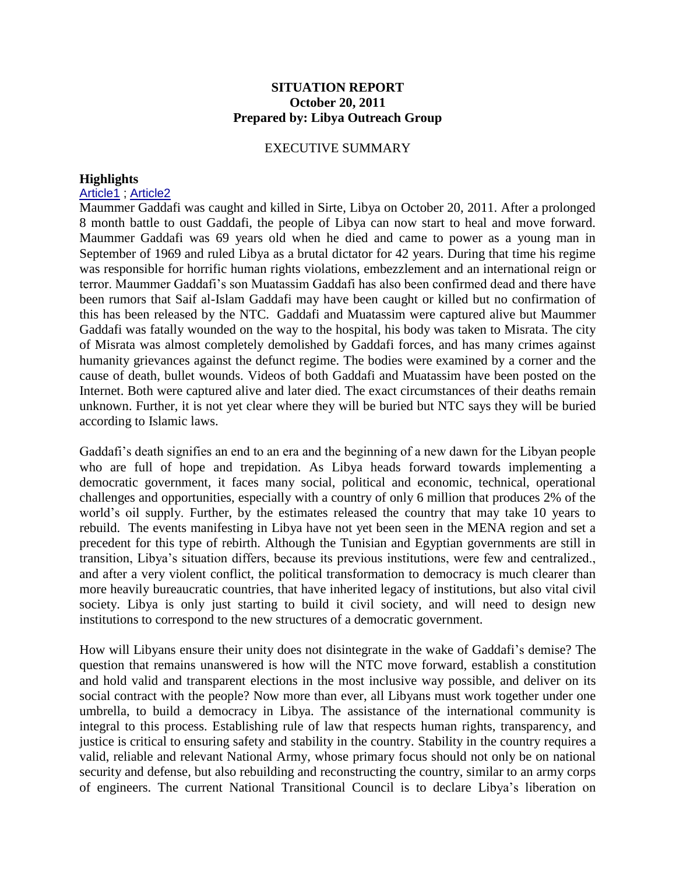## **SITUATION REPORT October 20, 2011 Prepared by: Libya Outreach Group**

### EXECUTIVE SUMMARY

### **Highlights**

#### [Article1](http://www.usatoday.com/news/world/story/2011-10-20/moammar-gadhafi-libya/50836710/1) ; [Article2](http://in.reuters.com/article/2011/10/20/usa-libya-future-idINN1E79J0N920111020)

Maummer Gaddafi was caught and killed in Sirte, Libya on October 20, 2011. After a prolonged 8 month battle to oust Gaddafi, the people of Libya can now start to heal and move forward. Maummer Gaddafi was 69 years old when he died and came to power as a young man in September of 1969 and ruled Libya as a brutal dictator for 42 years. During that time his regime was responsible for horrific human rights violations, embezzlement and an international reign or terror. Maummer Gaddafi's son Muatassim Gaddafi has also been confirmed dead and there have been rumors that Saif al-Islam Gaddafi may have been caught or killed but no confirmation of this has been released by the NTC. Gaddafi and Muatassim were captured alive but Maummer Gaddafi was fatally wounded on the way to the hospital, his body was taken to Misrata. The city of Misrata was almost completely demolished by Gaddafi forces, and has many crimes against humanity grievances against the defunct regime. The bodies were examined by a corner and the cause of death, bullet wounds. Videos of both Gaddafi and Muatassim have been posted on the Internet. Both were captured alive and later died. The exact circumstances of their deaths remain unknown. Further, it is not yet clear where they will be buried but NTC says they will be buried according to Islamic laws.

Gaddafi's death signifies an end to an era and the beginning of a new dawn for the Libyan people who are full of hope and trepidation. As Libya heads forward towards implementing a democratic government, it faces many social, political and economic, technical, operational challenges and opportunities, especially with a country of only 6 million that produces 2% of the world's oil supply. Further, by the estimates released the country that may take 10 years to rebuild. The events manifesting in Libya have not yet been seen in the MENA region and set a precedent for this type of rebirth. Although the Tunisian and Egyptian governments are still in transition, Libya's situation differs, because its previous institutions, were few and centralized., and after a very violent conflict, the political transformation to democracy is much clearer than more heavily bureaucratic countries, that have inherited legacy of institutions, but also vital civil society. Libya is only just starting to build it civil society, and will need to design new institutions to correspond to the new structures of a democratic government.

How will Libyans ensure their unity does not disintegrate in the wake of Gaddafi's demise? The question that remains unanswered is how will the NTC move forward, establish a constitution and hold valid and transparent elections in the most inclusive way possible, and deliver on its social contract with the people? Now more than ever, all Libyans must work together under one umbrella, to build a democracy in Libya. The assistance of the international community is integral to this process. Establishing rule of law that respects human rights, transparency, and justice is critical to ensuring safety and stability in the country. Stability in the country requires a valid, reliable and relevant National Army, whose primary focus should not only be on national security and defense, but also rebuilding and reconstructing the country, similar to an army corps of engineers. The current National Transitional Council is to declare Libya's liberation on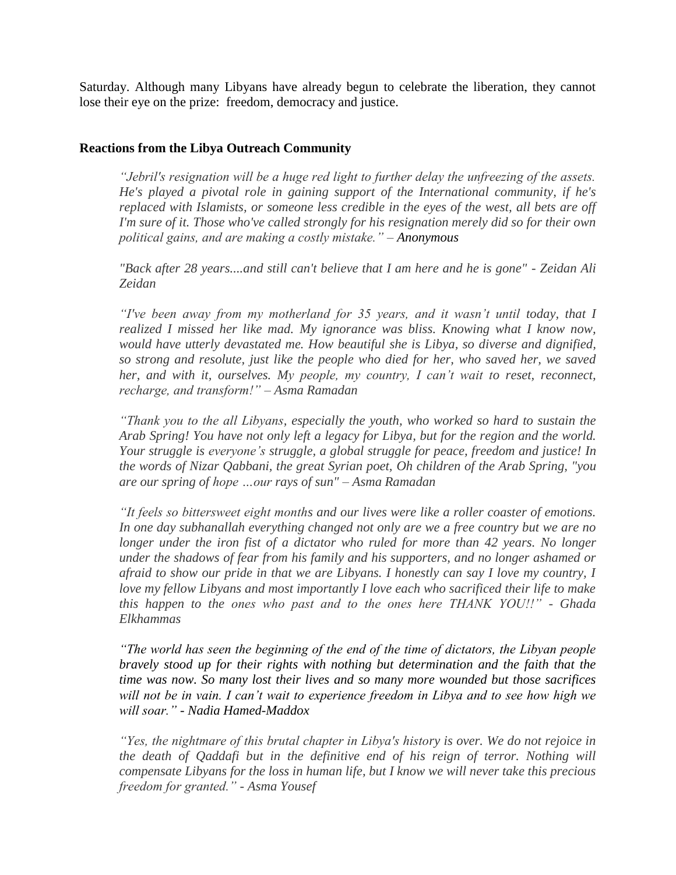Saturday. Although many Libyans have already begun to celebrate the liberation, they cannot lose their eye on the prize: freedom, democracy and justice.

## **Reactions from the Libya Outreach Community**

*"Jebril's resignation will be a huge red light to further delay the unfreezing of the assets. He's played a pivotal role in gaining support of the International community, if he's replaced with Islamists, or someone less credible in the eyes of the west, all bets are off I'm sure of it. Those who've called strongly for his resignation merely did so for their own political gains, and are making a costly mistake." – Anonymous*

*"Back after 28 years....and still can't believe that I am here and he is gone" - Zeidan Ali Zeidan*

*"I've been away from my motherland for 35 years, and it wasn't until today, that I realized I missed her like mad. My ignorance was bliss. Knowing what I know now, would have utterly devastated me. How beautiful she is Libya, so diverse and dignified, so strong and resolute, just like the people who died for her, who saved her, we saved her, and with it, ourselves. My people, my country, I can't wait to reset, reconnect, recharge, and transform!" – Asma Ramadan*

*"Thank you to the all Libyans, especially the youth, who worked so hard to sustain the Arab Spring! You have not only left a legacy for Libya, but for the region and the world. Your struggle is everyone's struggle, a global struggle for peace, freedom and justice! In the words of Nizar Qabbani, the great Syrian poet, Oh children of the Arab Spring, "you are our spring of hope …our rays of sun" – Asma Ramadan* 

*"It feels so bittersweet eight months and our lives were like a roller coaster of emotions. In one day subhanallah everything changed not only are we a free country but we are no longer under the iron fist of a dictator who ruled for more than 42 years. No longer under the shadows of fear from his family and his supporters, and no longer ashamed or afraid to show our pride in that we are Libyans. I honestly can say I love my country, I love my fellow Libyans and most importantly I love each who sacrificed their life to make this happen to the ones who past and to the ones here THANK YOU!!" - Ghada Elkhammas*

*"The world has seen the beginning of the end of the time of dictators, the Libyan people bravely stood up for their rights with nothing but determination and the faith that the time was now. So many lost their lives and so many more wounded but those sacrifices will not be in vain. I can't wait to experience freedom in Libya and to see how high we will soar." - Nadia Hamed-Maddox* 

*"Yes, the nightmare of this brutal chapter in Libya's history is over. We do not rejoice in the death of Qaddafi but in the definitive end of his reign of terror. Nothing will compensate Libyans for the loss in human life, but I know we will never take this precious freedom for granted." - Asma Yousef*